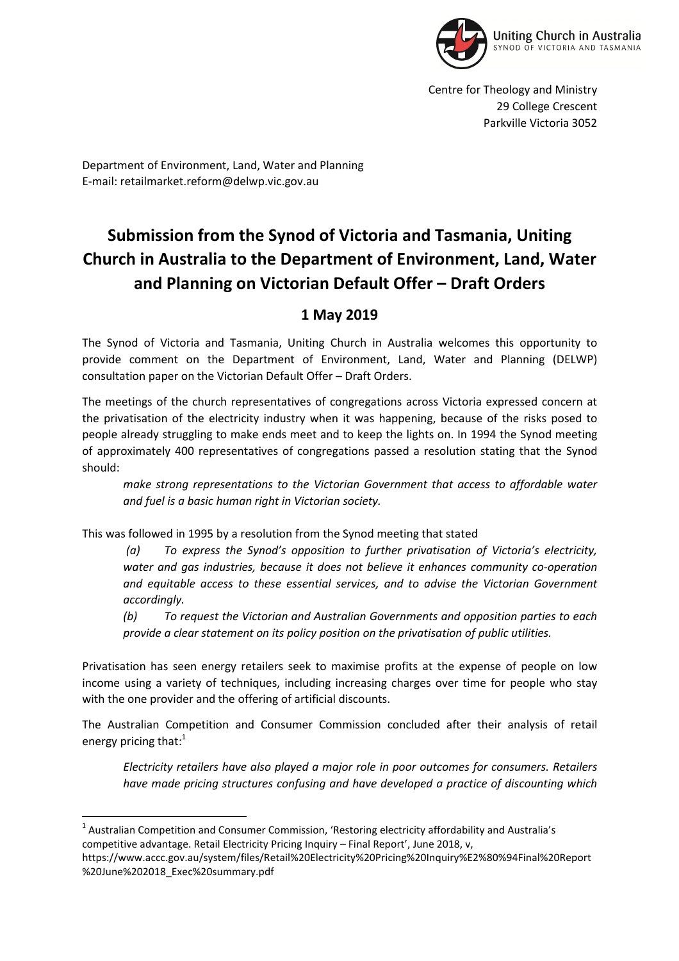

Centre for Theology and Ministry 29 College Crescent Parkville Victoria 3052

Department of Environment, Land, Water and Planning E-mail: retailmarket.reform@delwp.vic.gov.au

# **Submission from the Synod of Victoria and Tasmania, Uniting Church in Australia to the Department of Environment, Land, Water and Planning on Victorian Default Offer – Draft Orders**

# **1 May 2019**

The Synod of Victoria and Tasmania, Uniting Church in Australia welcomes this opportunity to provide comment on the Department of Environment, Land, Water and Planning (DELWP) consultation paper on the Victorian Default Offer – Draft Orders.

The meetings of the church representatives of congregations across Victoria expressed concern at the privatisation of the electricity industry when it was happening, because of the risks posed to people already struggling to make ends meet and to keep the lights on. In 1994 the Synod meeting of approximately 400 representatives of congregations passed a resolution stating that the Synod should:

*make strong representations to the Victorian Government that access to affordable water and fuel is a basic human right in Victorian society.* 

This was followed in 1995 by a resolution from the Synod meeting that stated

*(a) To express the Synod's opposition to further privatisation of Victoria's electricity, water and gas industries, because it does not believe it enhances community co-operation and equitable access to these essential services, and to advise the Victorian Government accordingly.* 

*(b) To request the Victorian and Australian Governments and opposition parties to each provide a clear statement on its policy position on the privatisation of public utilities.* 

Privatisation has seen energy retailers seek to maximise profits at the expense of people on low income using a variety of techniques, including increasing charges over time for people who stay with the one provider and the offering of artificial discounts.

The Australian Competition and Consumer Commission concluded after their analysis of retail energy pricing that:<sup>1</sup>

*Electricity retailers have also played a major role in poor outcomes for consumers. Retailers have made pricing structures confusing and have developed a practice of discounting which* 

<sup>&</sup>lt;sup>1</sup> Australian Competition and Consumer Commission, 'Restoring electricity affordability and Australia's competitive advantage. Retail Electricity Pricing Inquiry – Final Report', June 2018, v,

https://www.accc.gov.au/system/files/Retail%20Electricity%20Pricing%20Inquiry%E2%80%94Final%20Report %20June%202018\_Exec%20summary.pdf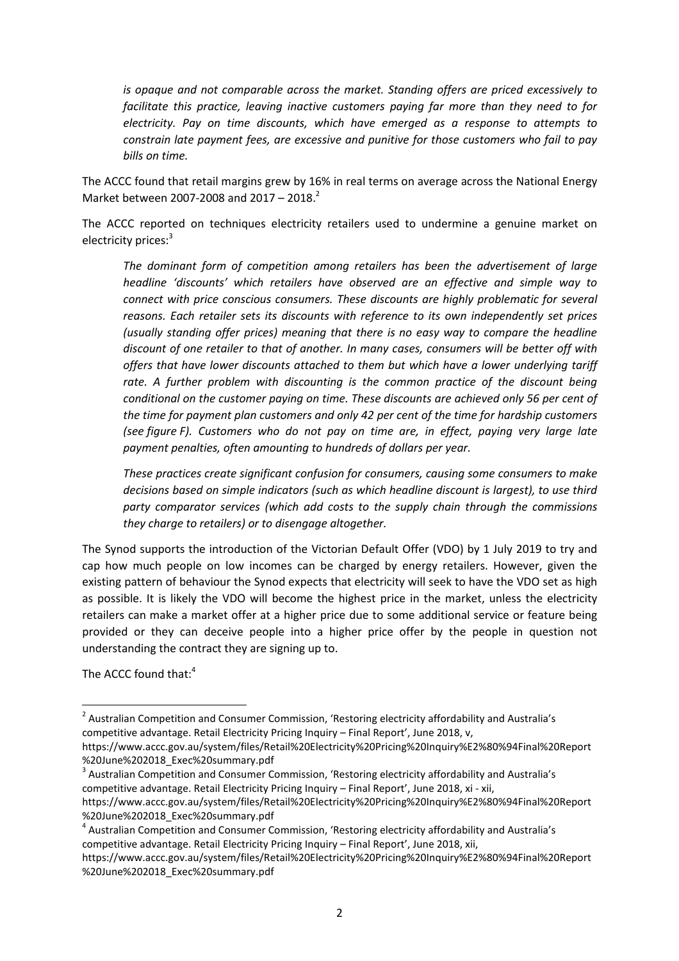*is opaque and not comparable across the market. Standing offers are priced excessively to facilitate this practice, leaving inactive customers paying far more than they need to for electricity. Pay on time discounts, which have emerged as a response to attempts to constrain late payment fees, are excessive and punitive for those customers who fail to pay bills on time.* 

The ACCC found that retail margins grew by 16% in real terms on average across the National Energy Market between 2007-2008 and 2017 – 2018.<sup>2</sup>

The ACCC reported on techniques electricity retailers used to undermine a genuine market on electricity prices:<sup>3</sup>

*The dominant form of competition among retailers has been the advertisement of large headline 'discounts' which retailers have observed are an effective and simple way to connect with price conscious consumers. These discounts are highly problematic for several reasons. Each retailer sets its discounts with reference to its own independently set prices (usually standing offer prices) meaning that there is no easy way to compare the headline discount of one retailer to that of another. In many cases, consumers will be better off with offers that have lower discounts attached to them but which have a lower underlying tariff*  rate. A further problem with discounting is the common practice of the discount being *conditional on the customer paying on time. These discounts are achieved only 56 per cent of the time for payment plan customers and only 42 per cent of the time for hardship customers (see figure F). Customers who do not pay on time are, in effect, paying very large late payment penalties, often amounting to hundreds of dollars per year.* 

*These practices create significant confusion for consumers, causing some consumers to make decisions based on simple indicators (such as which headline discount is largest), to use third party comparator services (which add costs to the supply chain through the commissions they charge to retailers) or to disengage altogether.* 

The Synod supports the introduction of the Victorian Default Offer (VDO) by 1 July 2019 to try and cap how much people on low incomes can be charged by energy retailers. However, given the existing pattern of behaviour the Synod expects that electricity will seek to have the VDO set as high as possible. It is likely the VDO will become the highest price in the market, unless the electricity retailers can make a market offer at a higher price due to some additional service or feature being provided or they can deceive people into a higher price offer by the people in question not understanding the contract they are signing up to.

The ACCC found that:<sup>4</sup>

l

<sup>&</sup>lt;sup>2</sup> Australian Competition and Consumer Commission, 'Restoring electricity affordability and Australia's competitive advantage. Retail Electricity Pricing Inquiry – Final Report', June 2018, v,

https://www.accc.gov.au/system/files/Retail%20Electricity%20Pricing%20Inquiry%E2%80%94Final%20Report %20June%202018\_Exec%20summary.pdf

 $3$  Australian Competition and Consumer Commission, 'Restoring electricity affordability and Australia's competitive advantage. Retail Electricity Pricing Inquiry – Final Report', June 2018, xi - xii,

https://www.accc.gov.au/system/files/Retail%20Electricity%20Pricing%20Inquiry%E2%80%94Final%20Report %20June%202018\_Exec%20summary.pdf

<sup>&</sup>lt;sup>4</sup> Australian Competition and Consumer Commission, 'Restoring electricity affordability and Australia's competitive advantage. Retail Electricity Pricing Inquiry – Final Report', June 2018, xii,

https://www.accc.gov.au/system/files/Retail%20Electricity%20Pricing%20Inquiry%E2%80%94Final%20Report %20June%202018\_Exec%20summary.pdf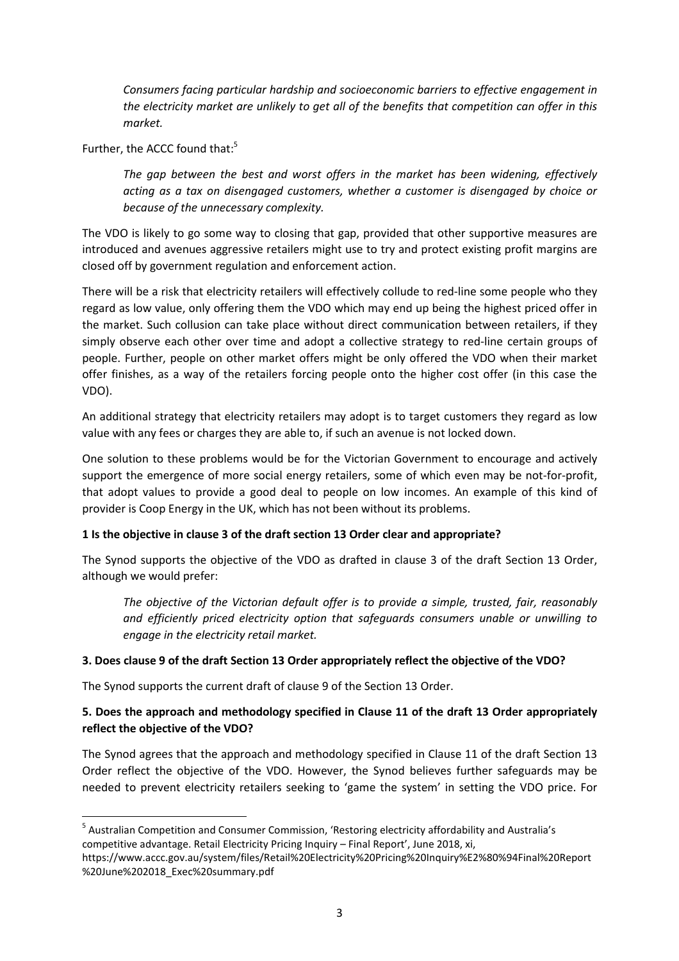*Consumers facing particular hardship and socioeconomic barriers to effective engagement in the electricity market are unlikely to get all of the benefits that competition can offer in this market.* 

Further, the ACCC found that:<sup>5</sup>

*The gap between the best and worst offers in the market has been widening, effectively acting as a tax on disengaged customers, whether a customer is disengaged by choice or because of the unnecessary complexity.* 

The VDO is likely to go some way to closing that gap, provided that other supportive measures are introduced and avenues aggressive retailers might use to try and protect existing profit margins are closed off by government regulation and enforcement action.

There will be a risk that electricity retailers will effectively collude to red-line some people who they regard as low value, only offering them the VDO which may end up being the highest priced offer in the market. Such collusion can take place without direct communication between retailers, if they simply observe each other over time and adopt a collective strategy to red-line certain groups of people. Further, people on other market offers might be only offered the VDO when their market offer finishes, as a way of the retailers forcing people onto the higher cost offer (in this case the VDO).

An additional strategy that electricity retailers may adopt is to target customers they regard as low value with any fees or charges they are able to, if such an avenue is not locked down.

One solution to these problems would be for the Victorian Government to encourage and actively support the emergence of more social energy retailers, some of which even may be not-for-profit, that adopt values to provide a good deal to people on low incomes. An example of this kind of provider is Coop Energy in the UK, which has not been without its problems.

#### **1 Is the objective in clause 3 of the draft section 13 Order clear and appropriate?**

The Synod supports the objective of the VDO as drafted in clause 3 of the draft Section 13 Order, although we would prefer:

*The objective of the Victorian default offer is to provide a simple, trusted, fair, reasonably and efficiently priced electricity option that safeguards consumers unable or unwilling to engage in the electricity retail market.* 

#### **3. Does clause 9 of the draft Section 13 Order appropriately reflect the objective of the VDO?**

The Synod supports the current draft of clause 9 of the Section 13 Order.

 $\overline{\phantom{0}}$ 

## **5. Does the approach and methodology specified in Clause 11 of the draft 13 Order appropriately reflect the objective of the VDO?**

The Synod agrees that the approach and methodology specified in Clause 11 of the draft Section 13 Order reflect the objective of the VDO. However, the Synod believes further safeguards may be needed to prevent electricity retailers seeking to 'game the system' in setting the VDO price. For

<sup>&</sup>lt;sup>5</sup> Australian Competition and Consumer Commission, 'Restoring electricity affordability and Australia's competitive advantage. Retail Electricity Pricing Inquiry – Final Report', June 2018, xi,

https://www.accc.gov.au/system/files/Retail%20Electricity%20Pricing%20Inquiry%E2%80%94Final%20Report %20June%202018\_Exec%20summary.pdf